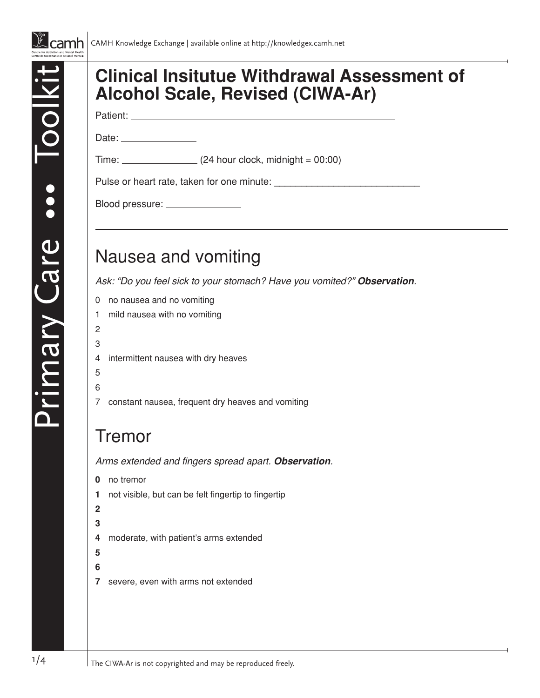

### **Clinical Insitutue Withdrawal Assessment of Alcohol Scale, Revised (CIWA-Ar)**

Patient:

 $Time:$  (24 hour clock, midnight = 00:00)

Pulse or heart rate, taken for one minute:

Blood pressure: \_\_\_\_\_\_\_\_\_\_\_\_\_\_\_\_

Date: **Date:** 

## Nausea and vomiting

*Ask: "Do you feel sick to your stomach? Have you vomited?" Observation.*

- 0 no nausea and no vomiting
- 1 mild nausea with no vomiting
- 2

Primary Care

Care •••

 $\begin{array}{c} \bullet \\ \bullet \\ \bullet \end{array}$ 

- 3
- 4 intermittent nausea with dry heaves
- 5
- 6
- 7 constant nausea, frequent dry heaves and vomiting

#### Tremor

Arms extended and fingers spread apart. *Observation.*

**0** no tremor **1** not visible, but can be felt fingertip to fingertip **2 3 4** moderate, with patient's arms extended **5 6 7** severe, even with arms not extended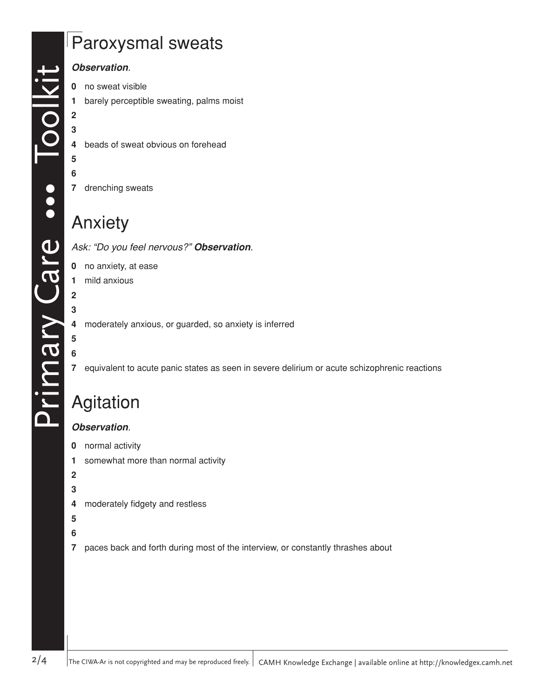# Paroxysmal sweats

#### *Observation.*

- no sweat visible
- barely perceptible sweating, palms moist
- 
- beads of sweat obvious on forehead
- 
- drenching sweats

### Anxiety

*Ask: "Do you feel nervous?" Observation.*

- no anxiety, at ease
- mild anxious

moderately anxious, or guarded, so anxiety is inferred

#### 

 

equivalent to acute panic states as seen in severe delirium or acute schizophrenic reactions

# Agitation

#### *Observation.*

- normal activity
- somewhat more than normal activity
- 
- 
- moderately fidgety and restless
- 
- 
- paces back and forth during most of the interview, or constantly thrashes about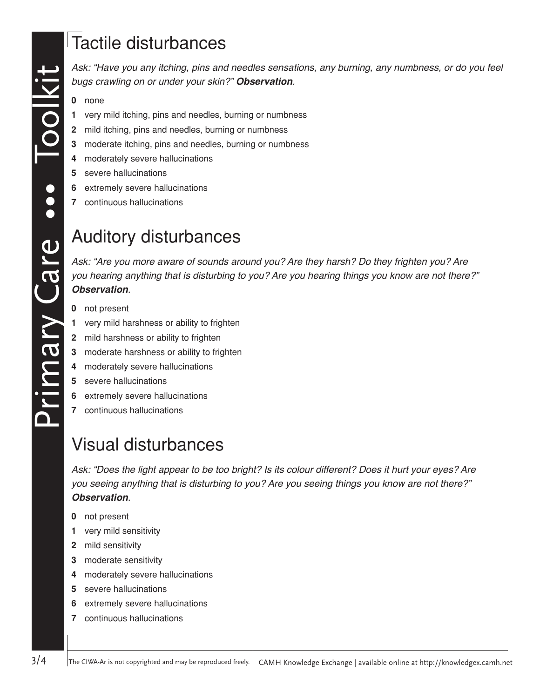*Ask: "Have you any itching, pins and needles sensations, any burning, any numbness, or do you feel bugs crawling on or under your skin?" Observation.*

- **0** none
- **1** very mild itching, pins and needles, burning or numbness
- **2** mild itching, pins and needles, burning or numbness
- **3** moderate itching, pins and needles, burning or numbness
- **4** moderately severe hallucinations
- **5** severe hallucinations
- **6** extremely severe hallucinations
- **7** continuous hallucinations

## Auditory disturbances

*Ask: "Are you more aware of sounds around you? Are they harsh? Do they frighten you? Are you hearing anything that is disturbing to you? Are you hearing things you know are not there?" Observation.*

- **0** not present
- **1** very mild harshness or ability to frighten
- **2** mild harshness or ability to frighten
- **3** moderate harshness or ability to frighten
- **4** moderately severe hallucinations
- **5** severe hallucinations
- **6** extremely severe hallucinations
- **7** continuous hallucinations

# Visual disturbances

*Ask: "Does the light appear to be too bright? Is its colour different? Does it hurt your eyes? Are you seeing anything that is disturbing to you? Are you seeing things you know are not there?" Observation.*

- **0** not present
- **1** very mild sensitivity
- **2** mild sensitivity
- **3** moderate sensitivity
- **4** moderately severe hallucinations
- **5** severe hallucinations
- **6** extremely severe hallucinations
- **7** continuous hallucinations